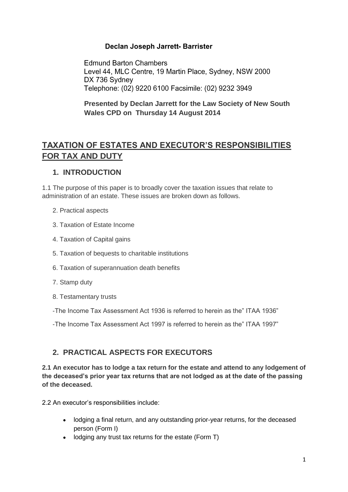## Declan Joseph Jarrett- Barrister

**Edmund Barton Chambers** Level 44, MLC Centre, 19 Martin Place, Sydney, NSW 2000 DX 736 Sydney Telephone: (02) 9220 6100 Facsimile: (02) 9232 3949

**Presented by Declan Jarrett for the Law Society of New South Wales CPD on Thursday 14 August 2014**

# **TAXATION OF ESTATES AND EXECUTOR'S RESPONSIBILITIES FOR TAX AND DUTY**

## **1. INTRODUCTION**

1.1 The purpose of this paper is to broadly cover the taxation issues that relate to administration of an estate. These issues are broken down as follows.

- 2. Practical aspects
- 3. Taxation of Estate Income
- 4. Taxation of Capital gains
- 5. Taxation of bequests to charitable institutions
- 6. Taxation of superannuation death benefits
- 7. Stamp duty
- 8. Testamentary trusts
- -The Income Tax Assessment Act 1936 is referred to herein as the" ITAA 1936"

-The Income Tax Assessment Act 1997 is referred to herein as the" ITAA 1997"

## **2. PRACTICAL ASPECTS FOR EXECUTORS**

**2.1 An executor has to lodge a tax return for the estate and attend to any lodgement of the deceased's prior year tax returns that are not lodged as at the date of the passing of the deceased.**

2.2 An executor's responsibilities include:

- lodging a final return, and any outstanding prior-year returns, for the deceased person (Form I)
- lodging any trust tax returns for the estate (Form T)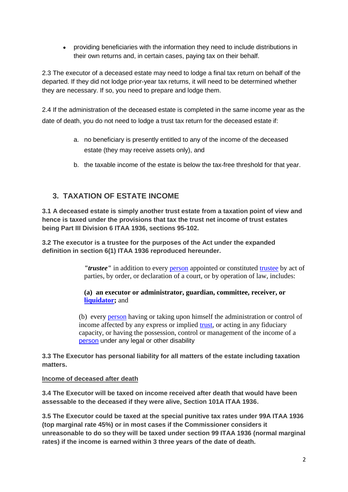providing beneficiaries with the information they need to include distributions in their own returns and, in certain cases, paying tax on their behalf.

2.3 The executor of a deceased estate may need to lodge a final tax return on behalf of the departed. If they did not lodge prior-year tax returns, it will need to be determined whether they are necessary. If so, you need to prepare and lodge them.

2.4 If the administration of the deceased estate is completed in the same income year as the date of death, you do not need to lodge a trust tax return for the deceased estate if:

- a. no beneficiary is presently entitled to any of the income of the deceased estate (they may receive assets only), and
- b. the taxable income of the estate is below the tax-free threshold for that year.

## **3. TAXATION OF ESTATE INCOME**

**3.1 A deceased estate is simply another trust estate from a taxation point of view and hence is taxed under the provisions that tax the trust net income of trust estates being Part III Division 6 ITAA 1936, sections 95-102.**

**3.2 The executor is a trustee for the purposes of the Act under the expanded definition in section 6(1) ITAA 1936 reproduced hereunder.**

> *"trustee"* in addition to every [person](http://www.austlii.edu.au/au/legis/cth/consol_act/itaa1936240/s202a.html#person) appointed or constituted [trustee](http://www.austlii.edu.au/au/legis/cth/consol_act/itaa1936240/s6.html#trustee) by act of parties, by order, or declaration of a court, or by operation of law, includes:

### **(a) an executor or administrator, guardian, committee, receiver, or [liquidator;](http://www.austlii.edu.au/au/legis/cth/consol_act/itaa1936240/s6.html#liquidator)** and

(b) every [person](http://www.austlii.edu.au/au/legis/cth/consol_act/itaa1936240/s202a.html#person) having or taking upon himself the administration or control of income affected by any express or implied [trust,](http://www.austlii.edu.au/au/legis/cth/consol_act/itaa1936240/s317.html#trust) or acting in any fiduciary capacity, or having the possession, control or management of the income of a [person](http://www.austlii.edu.au/au/legis/cth/consol_act/itaa1936240/s202a.html#person) under any legal or other disability

**3.3 The Executor has personal liability for all matters of the estate including taxation matters.**

#### **Income of deceased after death**

**3.4 The Executor will be taxed on income received after death that would have been assessable to the deceased if they were alive, Section 101A ITAA 1936.**

**3.5 The Executor could be taxed at the special punitive tax rates under 99A ITAA 1936 (top marginal rate 45%) or in most cases if the Commissioner considers it unreasonable to do so they will be taxed under section 99 ITAA 1936 (normal marginal rates) if the income is earned within 3 three years of the date of death.**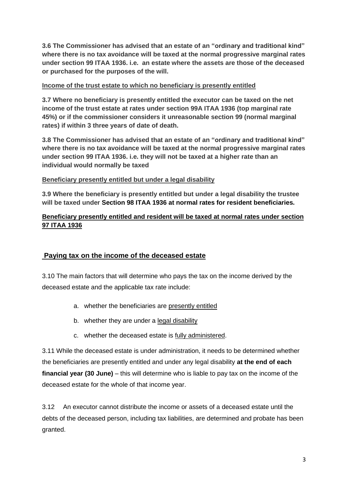**3.6 The Commissioner has advised that an estate of an "ordinary and traditional kind" where there is no tax avoidance will be taxed at the normal progressive marginal rates under section 99 ITAA 1936. i.e. an estate where the assets are those of the deceased or purchased for the purposes of the will.**

### **Income of the trust estate to which no beneficiary is presently entitled**

**3.7 Where no beneficiary is presently entitled the executor can be taxed on the net income of the trust estate at rates under section 99A ITAA 1936 (top marginal rate 45%) or if the commissioner considers it unreasonable section 99 (normal marginal rates) if within 3 three years of date of death.**

**3.8 The Commissioner has advised that an estate of an "ordinary and traditional kind" where there is no tax avoidance will be taxed at the normal progressive marginal rates under section 99 ITAA 1936. i.e. they will not be taxed at a higher rate than an individual would normally be taxed**

### **Beneficiary presently entitled but under a legal disability**

**3.9 Where the beneficiary is presently entitled but under a legal disability the trustee will be taxed under Section 98 ITAA 1936 at normal rates for resident beneficiaries.**

### **Beneficiary presently entitled and resident will be taxed at normal rates under section 97 ITAA 1936**

### **Paying tax on the income of the deceased estate**

3.10 The main factors that will determine who pays the tax on the income derived by the deceased estate and the applicable tax rate include:

- a. whether the beneficiaries are [presently entitled](https://www.ato.gov.au/Individuals/Deceased-estates/Being-an-executor/Tax-responsibilities/Paying-tax-on-the-income-of-a-deceased-estate/#presententitled)
- b. whether they are under a [legal disability](https://www.ato.gov.au/Individuals/Deceased-estates/Being-an-executor/Tax-responsibilities/Paying-tax-on-the-income-of-a-deceased-estate/#legaldisability)
- c. whether the deceased estate is [fully administered.](https://www.ato.gov.au/Individuals/Deceased-estates/Being-an-executor/Tax-responsibilities/Paying-tax-on-the-income-of-a-deceased-estate/#fullyadministered)

3.11 While the deceased estate is under administration, it needs to be determined whether the beneficiaries are presently entitled and under any legal disability **at the end of each financial year (30 June)** – this will determine who is liable to pay tax on the income of the deceased estate for the whole of that income year.

3.12 An executor cannot distribute the income or assets of a deceased estate until the debts of the deceased person, including tax liabilities, are determined and probate has been granted.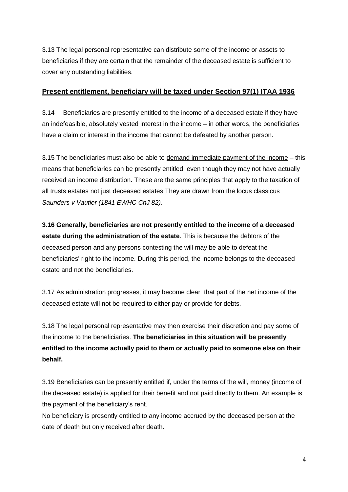3.13 The legal personal representative can distribute some of the income or assets to beneficiaries if they are certain that the remainder of the deceased estate is sufficient to cover any outstanding liabilities.

### **Present entitlement, beneficiary will be taxed under Section 97(1) ITAA 1936**

3.14 Beneficiaries are presently entitled to the income of a deceased estate if they have an indefeasible, absolutely vested interest in the income – in other words, the beneficiaries have a claim or interest in the income that cannot be defeated by another person.

3.15 The beneficiaries must also be able to demand immediate payment of the income – this means that beneficiaries can be presently entitled, even though they may not have actually received an income distribution. These are the same principles that apply to the taxation of all trusts estates not just deceased estates They are drawn from the locus classicus *Saunders v Vautier (1841 EWHC ChJ 82).*

**3.16 Generally, beneficiaries are not presently entitled to the income of a deceased estate during the administration of the estate**. This is because the debtors of the deceased person and any persons contesting the will may be able to defeat the beneficiaries' right to the income. During this period, the income belongs to the deceased estate and not the beneficiaries.

3.17 As administration progresses, it may become clear that part of the net income of the deceased estate will not be required to either pay or provide for debts.

3.18 The legal personal representative may then exercise their discretion and pay some of the income to the beneficiaries. **The beneficiaries in this situation will be presently entitled to the income actually paid to them or actually paid to someone else on their behalf.**

3.19 Beneficiaries can be presently entitled if, under the terms of the will, money (income of the deceased estate) is applied for their benefit and not paid directly to them. An example is the payment of the beneficiary's rent.

No beneficiary is presently entitled to any income accrued by the deceased person at the date of death but only received after death.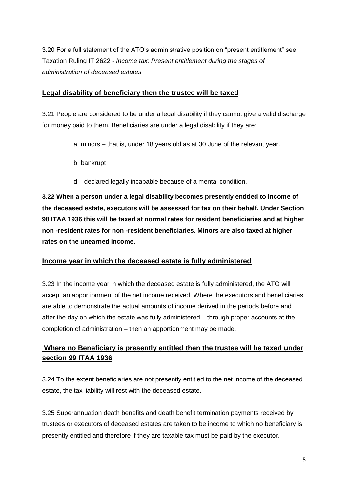3.20 For a full statement of the ATO's administrative position on "present entitlement" see Taxation Ruling IT 2622 *- Income tax: Present entitlement during the stages of administration of deceased estates*

### **Legal disability of beneficiary then the trustee will be taxed**

3.21 People are considered to be under a legal disability if they cannot give a valid discharge for money paid to them. Beneficiaries are under a legal disability if they are:

- a. minors that is, under 18 years old as at 30 June of the relevant year.
- b. bankrupt
- d. declared legally incapable because of a mental condition.

**3.22 When a person under a legal disability becomes presently entitled to income of the deceased estate, executors will be assessed for tax on their behalf. Under Section 98 ITAA 1936 this will be taxed at normal rates for resident beneficiaries and at higher non -resident rates for non -resident beneficiaries. Minors are also taxed at higher rates on the unearned income.**

## **Income year in which the deceased estate is fully administered**

3.23 In the income year in which the deceased estate is fully administered, the ATO will accept an apportionment of the net income received. Where the executors and beneficiaries are able to demonstrate the actual amounts of income derived in the periods before and after the day on which the estate was fully administered – through proper accounts at the completion of administration – then an apportionment may be made.

## **Where no Beneficiary is presently entitled then the trustee will be taxed under section 99 ITAA 1936**

3.24 To the extent beneficiaries are not presently entitled to the net income of the deceased estate, the tax liability will rest with the deceased estate.

3.25 Superannuation death benefits and death benefit termination payments received by trustees or executors of deceased estates are taken to be income to which no beneficiary is presently entitled and therefore if they are taxable tax must be paid by the executor.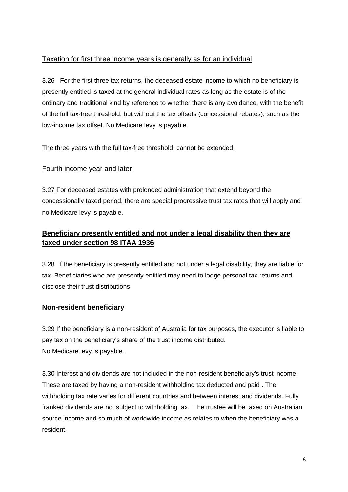## Taxation for first three income years is generally as for an individual

3.26 For the first three tax returns, the deceased estate income to which no beneficiary is presently entitled is taxed at the general individual rates as long as the estate is of the ordinary and traditional kind by reference to whether there is any avoidance, with the benefit of the full tax-free threshold, but without the tax offsets (concessional rebates), such as the low-income tax offset. No Medicare levy is payable.

The three years with the full tax-free threshold, cannot be extended.

## Fourth income year and later

3.27 For deceased estates with prolonged administration that extend beyond the concessionally taxed period, there are special progressive trust tax rates that will apply and no Medicare levy is payable.

## **Beneficiary presently entitled and not under a legal disability then they are taxed under section 98 ITAA 1936**

3.28 If the beneficiary is presently entitled and not under a legal disability, they are liable for tax. Beneficiaries who are presently entitled may need to lodge personal tax returns and disclose their trust distributions.

## **Non-resident beneficiary**

3.29 If the beneficiary is a non-resident of Australia for tax purposes, the executor is liable to pay tax on the beneficiary's share of the trust income distributed. No Medicare levy is payable.

3.30 Interest and dividends are not included in the non-resident beneficiary's trust income. These are taxed by having a non-resident withholding tax deducted and paid . The withholding tax rate varies for different countries and between interest and dividends. Fully franked dividends are not subject to withholding tax. The trustee will be taxed on Australian source income and so much of worldwide income as relates to when the beneficiary was a resident.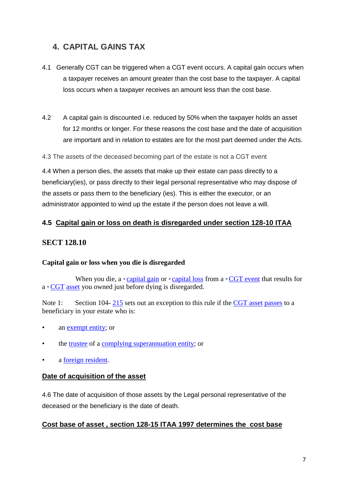# **4. CAPITAL GAINS TAX**

- 4.1 Generally CGT can be triggered when a CGT event occurs. A capital gain occurs when a taxpayer receives an amount greater than the cost base to the taxpayer. A capital loss occurs when a taxpayer receives an amount less than the cost base.
- 4.2 A capital gain is discounted i.e. reduced by 50% when the taxpayer holds an asset for 12 months or longer. For these reasons the cost base and the date of acquisition are important and in relation to estates are for the most part deemed under the Acts.
- 4.3 The assets of the deceased becoming part of the estate is not a CGT event

4.4 When a person dies, the assets that make up their estate can pass directly to a beneficiary(ies), or pass directly to their legal personal representative who may dispose of the assets or pass them to the beneficiary (ies). This is either the executor, or an administrator appointed to wind up the estate if the person does not leave a will.

## **4.5 Capital gain or loss on death is disregarded under section 128-10 ITAA**

### **SECT 128.10**

### **Capital gain or loss when you die is disregarded**

When you die, a  $*$  [capital gain](http://www.austlii.edu.au/au/legis/cth/consol_act/itaa1997240/s995.1.html#capital_gain) or  $*$  [capital loss](http://www.austlii.edu.au/au/legis/cth/consol_act/itaa1997240/s995.1.html#capital_loss) from a  $*$  [CGT event](http://www.austlii.edu.au/au/legis/cth/consol_act/itaa1997240/s995.1.html#cgt_event) that results for a \* [CGT](http://www.austlii.edu.au/au/legis/cth/consol_act/itaa1997240/s995.1.html#cgt_asset) [asset](http://www.austlii.edu.au/au/legis/cth/consol_act/itaa1997240/s995.1.html#cgt_asset) you owned just before dying is disregarded.

Note 1: Section 104-[215](http://www.austlii.edu.au/au/legis/cth/consol_act/itaa1997240/s215.html) sets out an exception to this rule if the [CGT asset](http://www.austlii.edu.au/au/legis/cth/consol_act/itaa1997240/s995.1.html#cgt_asset) [passes](http://www.austlii.edu.au/au/legis/cth/consol_act/itaa1997240/s995.1.html#passes) to a beneficiary in your estate who is:

- an [exempt entity;](http://www.austlii.edu.au/au/legis/cth/consol_act/itaa1997240/s995.1.html#exempt_entity) or
- the [trustee](http://www.austlii.edu.au/au/legis/cth/consol_act/itaa1997240/s995.1.html#trustee) of a [complying superannuation entity;](http://www.austlii.edu.au/au/legis/cth/consol_act/itaa1997240/s995.1.html#complying_superannuation_entity) or
- a [foreign resident.](http://www.austlii.edu.au/au/legis/cth/consol_act/itaa1997240/s995.1.html#foreign_resident)

### **Date of acquisition of the asset**

4.6 The date of acquisition of those assets by the Legal personal representative of the deceased or the beneficiary is the date of death.

### **Cost base of asset , section 128-15 ITAA 1997 determines the cost base**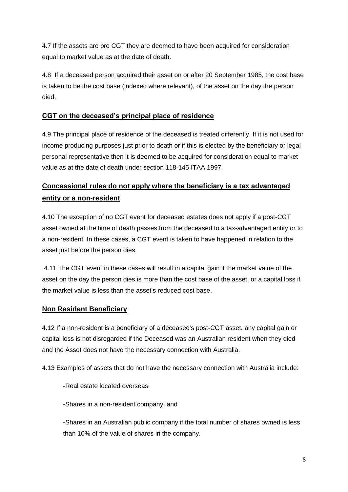4.7 If the assets are pre CGT they are deemed to have been acquired for consideration equal to market value as at the date of death.

4.8 If a deceased person acquired their asset on or after 20 September 1985, the cost base is taken to be the cost base (indexed where relevant), of the asset on the day the person died.

## **CGT on the deceased's principal place of residence**

4.9 The principal place of residence of the deceased is treated differently. If it is not used for income producing purposes just prior to death or if this is elected by the beneficiary or legal personal representative then it is deemed to be acquired for consideration equal to market value as at the date of death under section 118-145 ITAA 1997.

# **Concessional rules do not apply where the beneficiary is a tax advantaged entity or a non-resident**

4.10 The exception of no CGT event for deceased estates does not apply if a post-CGT asset owned at the time of death passes from the deceased to a tax-advantaged entity or to a non-resident. In these cases, a CGT event is taken to have happened in relation to the asset just before the person dies.

4.11 The CGT event in these cases will result in a capital gain if the market value of the asset on the day the person dies is more than the cost base of the asset, or a capital loss if the market value is less than the asset's reduced cost base.

## **Non Resident Beneficiary**

4.12 If a non-resident is a beneficiary of a deceased's post-CGT asset, any capital gain or capital loss is not disregarded if the Deceased was an Australian resident when they died and the Asset does not have the necessary connection with Australia.

4.13 Examples of assets that do not have the necessary connection with Australia include:

-Real estate located overseas

-Shares in a non-resident company, and

-Shares in an Australian public company if the total number of shares owned is less than 10% of the value of shares in the company.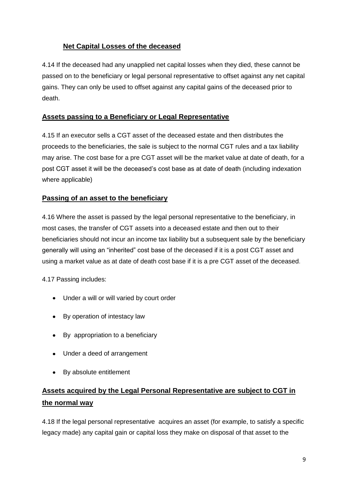## **Net Capital Losses of the deceased**

4.14 If the deceased had any unapplied net capital losses when they died, these cannot be passed on to the beneficiary or legal personal representative to offset against any net capital gains. They can only be used to offset against any capital gains of the deceased prior to death.

## **Assets passing to a Beneficiary or Legal Representative**

4.15 If an executor sells a CGT asset of the deceased estate and then distributes the proceeds to the beneficiaries, the sale is subject to the normal CGT rules and a tax liability may arise. The cost base for a pre CGT asset will be the market value at date of death, for a post CGT asset it will be the deceased's cost base as at date of death (including indexation where applicable)

## **Passing of an asset to the beneficiary**

4.16 Where the asset is passed by the legal personal representative to the beneficiary, in most cases, the transfer of CGT assets into a deceased estate and then out to their beneficiaries should not incur an income tax liability but a subsequent sale by the beneficiary generally will using an "inherited" cost base of the deceased if it is a post CGT asset and using a market value as at date of death cost base if it is a pre CGT asset of the deceased.

4.17 Passing includes:

- Under a will or will varied by court order
- By operation of intestacy law
- By appropriation to a beneficiary
- Under a deed of arrangement
- By absolute entitlement

# **Assets acquired by the Legal Personal Representative are subject to CGT in the normal way**

4.18 If the legal personal representative acquires an asset (for example, to satisfy a specific legacy made) any capital gain or capital loss they make on disposal of that asset to the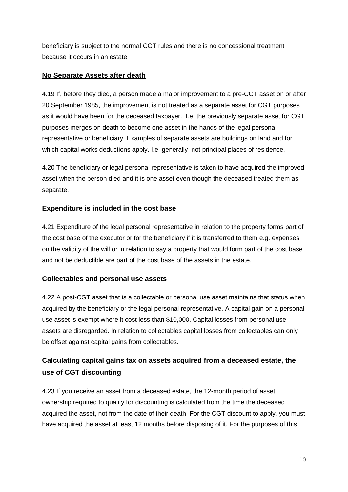beneficiary is subject to the normal CGT rules and there is no concessional treatment because it occurs in an estate .

## **No Separate Assets after death**

4.19 If, before they died, a person made a major improvement to a pre-CGT asset on or after 20 September 1985, the improvement is not treated as a separate asset for CGT purposes as it would have been for the deceased taxpayer. I.e. the previously separate asset for CGT purposes merges on death to become one asset in the hands of the legal personal representative or beneficiary. Examples of separate assets are buildings on land and for which capital works deductions apply. I.e. generally not principal places of residence.

4.20 The beneficiary or legal personal representative is taken to have acquired the improved asset when the person died and it is one asset even though the deceased treated them as separate.

## **Expenditure is included in the cost base**

4.21 Expenditure of the legal personal representative in relation to the property forms part of the cost base of the executor or for the beneficiary if it is transferred to them e.g. expenses on the validity of the will or in relation to say a property that would form part of the cost base and not be deductible are part of the cost base of the assets in the estate.

## **Collectables and personal use assets**

4.22 A post-CGT asset that is a collectable or personal use asset maintains that status when acquired by the beneficiary or the legal personal representative. A capital gain on a personal use asset is exempt where it cost less than \$10,000. Capital losses from personal use assets are disregarded. In relation to collectables capital losses from collectables can only be offset against capital gains from collectables.

# **Calculating capital gains tax on assets acquired from a deceased estate, the use of CGT discounting**

4.23 If you receive an asset from a deceased estate, the 12-month period of asset ownership required to qualify for discounting is calculated from the time the deceased acquired the asset, not from the date of their death. For the CGT discount to apply, you must have acquired the asset at least 12 months before disposing of it. For the purposes of this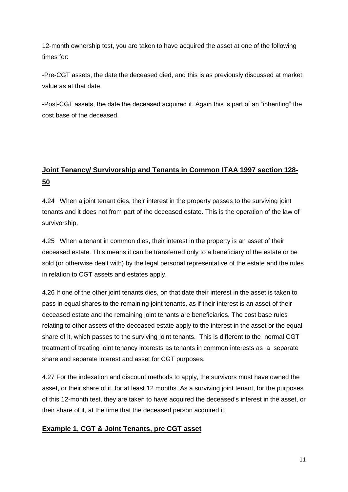12-month ownership test, you are taken to have acquired the asset at one of the following times for:

-Pre-CGT assets, the date the deceased died, and this is as previously discussed at market value as at that date.

-Post-CGT assets, the date the deceased acquired it. Again this is part of an "inheriting" the cost base of the deceased.

# **Joint Tenancy/ Survivorship and Tenants in Common ITAA 1997 section 128- 50**

4.24 When a joint tenant dies, their interest in the property passes to the surviving joint tenants and it does not from part of the deceased estate. This is the operation of the law of survivorship.

4.25 When a tenant in common dies, their interest in the property is an asset of their deceased estate. This means it can be transferred only to a beneficiary of the estate or be sold (or otherwise dealt with) by the legal personal representative of the estate and the rules in relation to CGT assets and estates apply.

4.26 If one of the other joint tenants dies, on that date their interest in the asset is taken to pass in equal shares to the remaining joint tenants, as if their interest is an asset of their deceased estate and the remaining joint tenants are beneficiaries. The cost base rules relating to other assets of the deceased estate apply to the interest in the asset or the equal share of it, which passes to the surviving joint tenants. This is different to the normal CGT treatment of treating joint tenancy interests as tenants in common interests as a separate share and separate interest and asset for CGT purposes.

4.27 For the indexation and discount methods to apply, the survivors must have owned the asset, or their share of it, for at least 12 months. As a surviving joint tenant, for the purposes of this 12-month test, they are taken to have acquired the deceased's interest in the asset, or their share of it, at the time that the deceased person acquired it.

## **Example 1, CGT & Joint Tenants, pre CGT asset**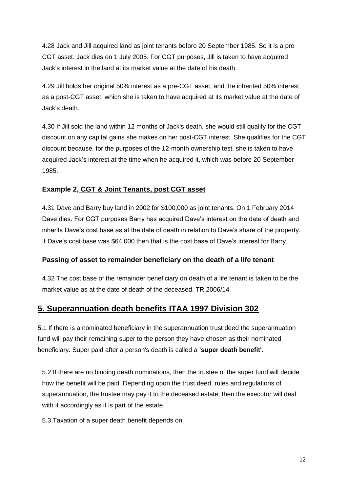4.28 Jack and Jill acquired land as joint tenants before 20 September 1985. So it is a pre CGT asset. Jack dies on 1 July 2005. For CGT purposes, Jill is taken to have acquired Jack's interest in the land at its market value at the date of his death.

4.29 Jill holds her original 50% interest as a pre-CGT asset, and the inherited 50% interest as a post-CGT asset, which she is taken to have acquired at its market value at the date of Jack's death.

4.30 If Jill sold the land within 12 months of Jack's death, she would still qualify for the CGT discount on any capital gains she makes on her post-CGT interest. She qualifies for the CGT discount because, for the purposes of the 12-month ownership test, she is taken to have acquired Jack's interest at the time when he acquired it, which was before 20 September 1985.

## **Example 2, CGT & Joint Tenants, post CGT asset**

4.31 Dave and Barry buy land in 2002 for \$100,000 as joint tenants. On 1 February 2014 Dave dies. For CGT purposes Barry has acquired Dave's interest on the date of death and inherits Dave's cost base as at the date of death in relation to Dave's share of the property. If Dave's cost base was \$64,000 then that is the cost base of Dave's interest for Barry.

## **Passing of asset to remainder beneficiary on the death of a life tenant**

4.32 The cost base of the remainder beneficiary on death of a life tenant is taken to be the market value as at the date of death of the deceased. TR 2006/14.

## **5. Superannuation death benefits ITAA 1997 Division 302**

5.1 If there is a nominated beneficiary in the superannuation trust deed the superannuation fund will pay their remaining super to the person they have chosen as their nominated beneficiary. Super paid after a person's death is called a **'super death benefit'.**

5.2 If there are no binding death nominations, then the trustee of the super fund will decide how the benefit will be paid. Depending upon the trust deed, rules and regulations of superannuation, the trustee may pay it to the deceased estate, then the executor will deal with it accordingly as it is part of the estate.

5.3 Taxation of a super death benefit depends on: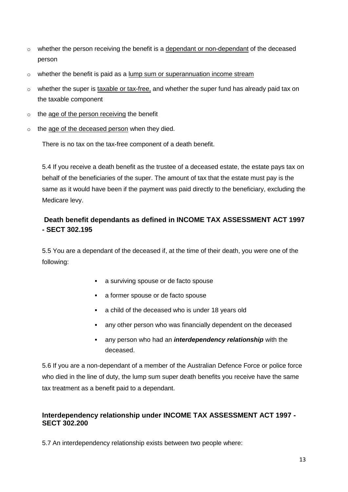- $\circ$  whether the person receiving the benefit is a dependant or non-dependant of the deceased person
- $\circ$  whether the benefit is paid as a lump sum or superannuation income stream
- $\circ$  whether the super is [taxable or tax-free,](https://www.ato.gov.au/Individuals/Super/In-detail/Receiving-benefits/Withdrawing-your-super-and-paying-tax/?amp;page=1#Taxable_and_tax-free_super#Taxable_and_tax-free_super) and whether the super fund has already paid tax on the taxable component
- $\circ$  the age of the person receiving the benefit
- o the age of the deceased person when they died.

There is no tax on the tax-free component of a death benefit.

5.4 If you receive a death benefit as the trustee of a deceased estate, the estate pays tax on behalf of the beneficiaries of the super. The amount of tax that the estate must pay is the same as it would have been if the payment was paid directly to the beneficiary, excluding the Medicare levy.

## **Death benefit dependants as defined in INCOME TAX ASSESSMENT ACT 1997 - SECT 302.195**

5.5 You are a dependant of the deceased if, at the time of their death, you were one of the following:

- a surviving spouse or de facto spouse
- a former spouse or de facto spouse
- a child of the deceased who is under 18 years old
- any other person who was financially dependent on the deceased
- any person who had an *interdependency relationship* with the deceased.

5.6 If you are a non-dependant of a member of the Australian Defence Force or police force who died in the line of duty, the lump sum super death benefits you receive have the same tax treatment as a benefit paid to a dependant.

## **Interdependency relationship under INCOME TAX ASSESSMENT ACT 1997 - SECT 302.200**

5.7 An interdependency relationship exists between two people where: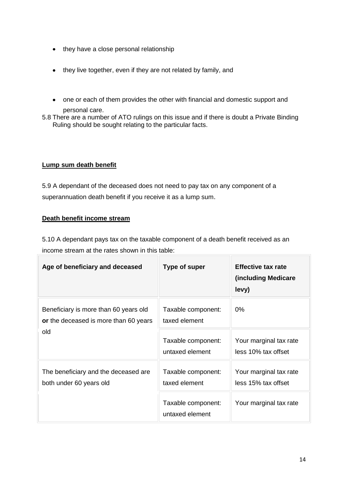- they have a close personal relationship
- they live together, even if they are not related by family, and
- one or each of them provides the other with financial and domestic support and personal care.
- 5.8 There are a number of ATO rulings on this issue and if there is doubt a Private Binding Ruling should be sought relating to the particular facts.

### **Lump sum death benefit**

5.9 A dependant of the deceased does not need to pay tax on any component of a superannuation death benefit if you receive it as a lump sum.

### **Death benefit income stream**

5.10 A dependant pays tax on the taxable component of a death benefit received as an income stream at the rates shown in this table:

| Age of beneficiary and deceased                                                       | <b>Type of super</b>                  | <b>Effective tax rate</b><br>(including Medicare)<br>levy) |
|---------------------------------------------------------------------------------------|---------------------------------------|------------------------------------------------------------|
| Beneficiary is more than 60 years old<br>or the deceased is more than 60 years<br>old | Taxable component:<br>taxed element   | $0\%$                                                      |
|                                                                                       | Taxable component:<br>untaxed element | Your marginal tax rate<br>less 10% tax offset              |
| The beneficiary and the deceased are<br>both under 60 years old                       | Taxable component:<br>taxed element   | Your marginal tax rate<br>less 15% tax offset              |
|                                                                                       | Taxable component:<br>untaxed element | Your marginal tax rate                                     |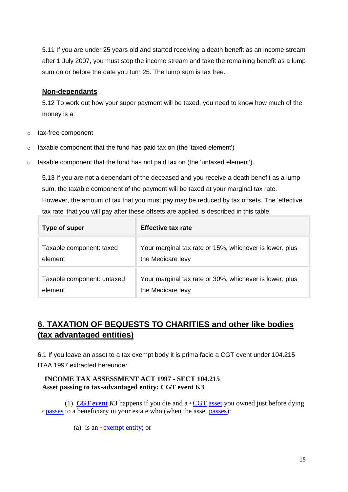5.11 If you are under 25 years old and started receiving a death benefit as an income stream after 1 July 2007, you must stop the income stream and take the remaining benefit as a lump sum on or before the date you turn 25. The lump sum is tax free.

### **Non-dependants**

5.12 To work out how your super payment will be taxed, you need to know how much of the money is a:

- o tax-free component
- o taxable component that the fund has paid tax on (the 'taxed element')
- o taxable component that the fund has not paid tax on (the 'untaxed element').

5.13 If you are not a dependant of the deceased and you receive a death benefit as a lump sum, the taxable component of the payment will be taxed at your marginal tax rate. However, the amount of tax that you must pay may be reduced by tax offsets. The 'effective tax rate' that you will pay after these offsets are applied is described in this table:

| Type of super              | <b>Effective tax rate</b>                               |
|----------------------------|---------------------------------------------------------|
| Taxable component: taxed   | Your marginal tax rate or 15%, whichever is lower, plus |
| element                    | the Medicare levy                                       |
| Taxable component: untaxed | Your marginal tax rate or 30%, whichever is lower, plus |
| element                    | the Medicare levy                                       |

# **6. TAXATION OF BEQUESTS TO CHARITIES and other like bodies (tax advantaged entities)**

6.1 If you leave an asset to a tax exempt body it is prima facie a CGT event under 104.215 ITAA 1997 extracted hereunder

### **INCOME TAX ASSESSMENT ACT 1997 - SECT 104.215 Asset passing to tax-advantaged entity: CGT event K3**

 (1) *[CGT event](http://www.austlii.edu.au/au/legis/cth/consol_act/itaa1997240/s995.1.html#cgt_event) K3* happens if you die and a \* [CGT](http://www.austlii.edu.au/au/legis/cth/consol_act/itaa1997240/s995.1.html#cgt_asset) [asset](http://www.austlii.edu.au/au/legis/cth/consol_act/itaa1997240/s995.1.html#cgt_asset) you owned just before dying \* [passes](http://www.austlii.edu.au/au/legis/cth/consol_act/itaa1997240/s995.1.html#passes) to a beneficiary in your estate who (when the asset [passes\)](http://www.austlii.edu.au/au/legis/cth/consol_act/itaa1997240/s995.1.html#passes):

(a) is an \* [exempt entity;](http://www.austlii.edu.au/au/legis/cth/consol_act/itaa1997240/s995.1.html#exempt_entity) or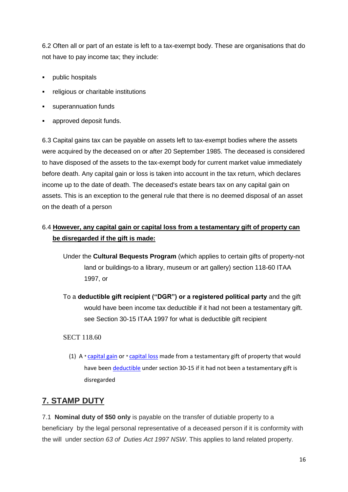6.2 Often all or part of an estate is left to a tax-exempt body. These are organisations that do not have to pay income tax; they include:

- public hospitals
- **Figure 1** religious or charitable institutions
- superannuation funds
- approved deposit funds.

6.3 Capital gains tax can be payable on assets left to tax-exempt bodies where the assets were acquired by the deceased on or after 20 September 1985. The deceased is considered to have disposed of the assets to the tax-exempt body for current market value immediately before death. Any capital gain or loss is taken into account in the tax return, which declares income up to the date of death. The deceased's estate bears tax on any capital gain on assets. This is an exception to the general rule that there is no deemed disposal of an asset on the death of a person

## 6.4 **However, any capital gain or capital loss from a testamentary gift of property can be disregarded if the gift is made:**

- Under the **Cultural Bequests Program** (which applies to certain gifts of property-not land or buildings-to a library, museum or art gallery) section 118-60 ITAA 1997, or
- To a **deductible gift recipient ("DGR") or a registered political party** and the gift would have been income tax deductible if it had not been a testamentary gift. see Section 30-15 ITAA 1997 for what is deductible gift recipient

### SECT 118.60

(1)  $A *$  [capital gain](http://www.austlii.edu.au/au/legis/cth/consol_act/itaa1997240/s995.1.html#capital_gain) or  $*$  [capital loss](http://www.austlii.edu.au/au/legis/cth/consol_act/itaa1997240/s995.1.html#capital_loss) made from a testamentary gift of property that would have been [deductible](http://www.austlii.edu.au/au/legis/cth/consol_act/itaa1997240/s995.1.html#deduct) under section 30-15 if it had not been a testamentary gift is disregarded

## **7. STAMP DUTY**

7.1 **Nominal duty of \$50 only** is payable on the transfer of dutiable property to a beneficiary by the legal personal representative of a deceased person if it is conformity with the will under *section 63 of Duties Act 1997 NSW*. This applies to land related property.